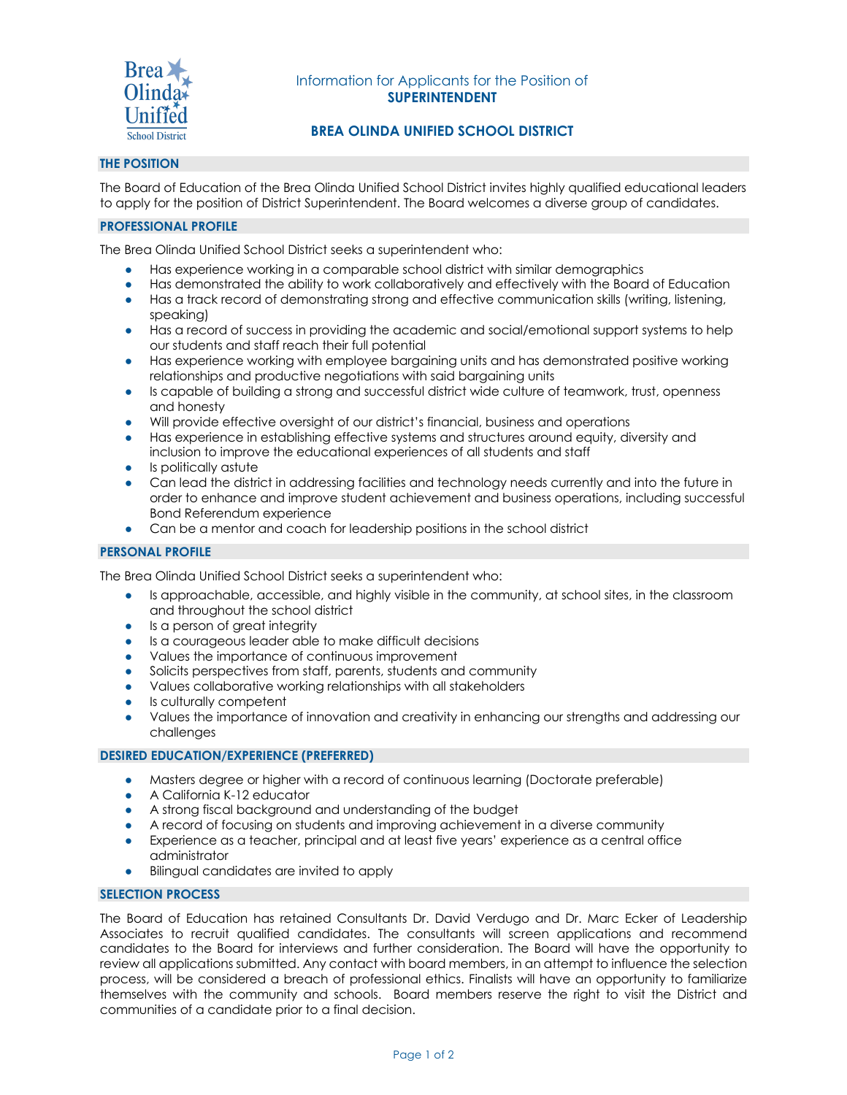

# Information for Applicants for the Position of **SUPERINTENDENT**

# **BREA OLINDA UNIFIED SCHOOL DISTRICT**

# **THE POSITION**

The Board of Education of the Brea Olinda Unified School District invites highly qualified educational leaders to apply for the position of District Superintendent. The Board welcomes a diverse group of candidates.

## **PROFESSIONAL PROFILE**

The Brea Olinda Unified School District seeks a superintendent who:

- Has experience working in a comparable school district with similar demographics
- Has demonstrated the ability to work collaboratively and effectively with the Board of Education
- Has a track record of demonstrating strong and effective communication skills (writing, listening, speaking)
- Has a record of success in providing the academic and social/emotional support systems to help our students and staff reach their full potential
- Has experience working with employee bargaining units and has demonstrated positive working relationships and productive negotiations with said bargaining units
- Is capable of building a strong and successful district wide culture of teamwork, trust, openness and honesty
- Will provide effective oversight of our district's financial, business and operations
- Has experience in establishing effective systems and structures around equity, diversity and inclusion to improve the educational experiences of all students and staff
- Is politically astute
- Can lead the district in addressing facilities and technology needs currently and into the future in order to enhance and improve student achievement and business operations, including successful Bond Referendum experience
- Can be a mentor and coach for leadership positions in the school district

## **PERSONAL PROFILE**

The Brea Olinda Unified School District seeks a superintendent who:

- Is approachable, accessible, and highly visible in the community, at school sites, in the classroom and throughout the school district
- Is a person of great integrity
- Is a courageous leader able to make difficult decisions
- Values the importance of continuous improvement
- Solicits perspectives from staff, parents, students and community
- Values collaborative working relationships with all stakeholders
- Is culturally competent
- Values the importance of innovation and creativity in enhancing our strengths and addressing our challenges

### **DESIRED EDUCATION/EXPERIENCE (PREFERRED)**

- Masters degree or higher with a record of continuous learning (Doctorate preferable)
- A California K-12 educator
- A strong fiscal background and understanding of the budget
- A record of focusing on students and improving achievement in a diverse community
- Experience as a teacher, principal and at least five years' experience as a central office administrator
- Bilingual candidates are invited to apply

### **SELECTION PROCESS**

The Board of Education has retained Consultants Dr. David Verdugo and Dr. Marc Ecker of Leadership Associates to recruit qualified candidates. The consultants will screen applications and recommend candidates to the Board for interviews and further consideration. The Board will have the opportunity to review all applications submitted. Any contact with board members, in an attempt to influence the selection process, will be considered a breach of professional ethics. Finalists will have an opportunity to familiarize themselves with the community and schools. Board members reserve the right to visit the District and communities of a candidate prior to a final decision.